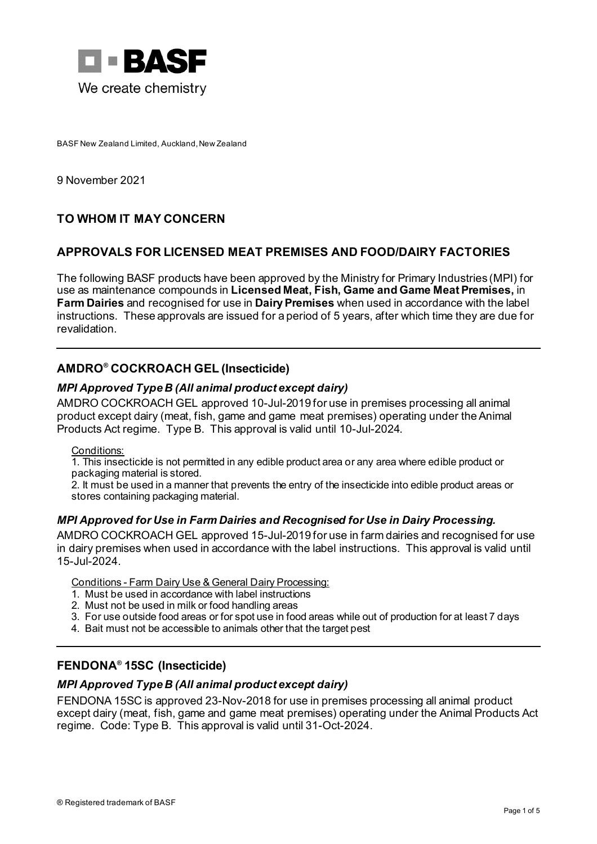

BASF New Zealand Limited, Auckland, New Zealand

9 November 2021

# **TO WHOM IT MAY CONCERN**

# **APPROVALS FOR LICENSED MEAT PREMISES AND FOOD/DAIRY FACTORIES**

The following BASF products have been approved by the Ministry for Primary Industries (MPI) for use as maintenance compounds in **Licensed Meat, Fish, Game and Game Meat Premises,** in **Farm Dairies** and recognised for use in **Dairy Premises** when used in accordance with the label instructions. These approvals are issued for a period of 5 years, after which time they are due for revalidation.

# **AMDRO® COCKROACH GEL (Insecticide)**

### *MPI Approved Type B (All animal product except dairy)*

AMDRO COCKROACH GEL approved 10-Jul-2019 for use in premises processing all animal product except dairy (meat, fish, game and game meat premises) operating under the Animal Products Act regime. Type B. This approval is valid until 10-Jul-2024.

Conditions:

1. This insecticide is not permitted in any edible product area or any area where edible product or packaging material is stored.

2. It must be used in a manner that prevents the entry of the insecticide into edible product areas or stores containing packaging material.

## *MPI Approved for Use in Farm Dairies and Recognised for Use in Dairy Processing.*

AMDRO COCKROACH GEL approved 15-Jul-2019 for use in farm dairies and recognised for use in dairy premises when used in accordance with the label instructions. This approval is valid until 15-Jul-2024.

Conditions - Farm Dairy Use & General Dairy Processing:

- 1. Must be used in accordance with label instructions
- 2. Must not be used in milk or food handling areas
- 3. For use outside food areas or for spot use in food areas while out of production for at least 7 days
- 4. Bait must not be accessible to animals other that the target pest

## **FENDONA® 15SC (Insecticide)**

### *MPI Approved Type B (All animal product except dairy)*

FENDONA 15SC is approved 23-Nov-2018 for use in premises processing all animal product except dairy (meat, fish, game and game meat premises) operating under the Animal Products Act regime. Code: Type B. This approval is valid until 31-Oct-2024.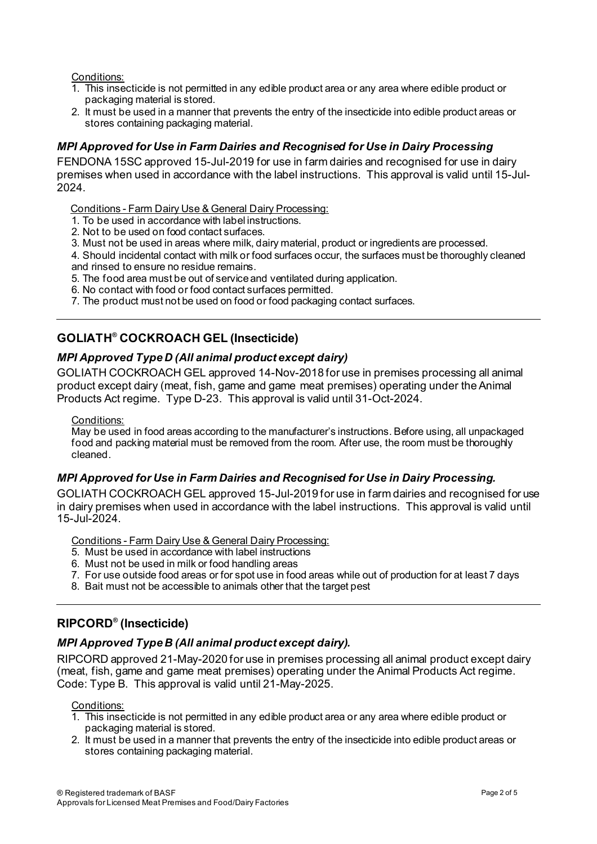### Conditions:

- 1. This insecticide is not permitted in any edible product area or any area where edible product or packaging material is stored.
- 2. It must be used in a manner that prevents the entry of the insecticide into edible product areas or stores containing packaging material.

### *MPI Approved for Use in Farm Dairies and Recognised for Use in Dairy Processing*

FENDONA 15SC approved 15-Jul-2019 for use in farm dairies and recognised for use in dairy premises when used in accordance with the label instructions. This approval is valid until 15-Jul-2024.

Conditions - Farm Dairy Use & General Dairy Processing:

- 1. To be used in accordance with label instructions.
- 2. Not to be used on food contact surfaces.
- 3. Must not be used in areas where milk, dairy material, product or ingredients are processed.

4. Should incidental contact with milk or food surfaces occur, the surfaces must be thoroughly cleaned and rinsed to ensure no residue remains.

- 5. The food area must be out of service and ventilated during application.
- 6. No contact with food or food contact surfaces permitted.
- 7. The product must not be used on food or food packaging contact surfaces.

## **GOLIATH® COCKROACH GEL (Insecticide)**

### *MPI Approved Type D (All animal product except dairy)*

GOLIATH COCKROACH GEL approved 14-Nov-2018 for use in premises processing all animal product except dairy (meat, fish, game and game meat premises) operating under the Animal Products Act regime. Type D-23. This approval is valid until 31-Oct-2024.

#### Conditions:

May be used in food areas according to the manufacturer's instructions. Before using, all unpackaged food and packing material must be removed from the room. After use, the room must be thoroughly cleaned.

### *MPI Approved for Use in Farm Dairies and Recognised for Use in Dairy Processing.*

GOLIATH COCKROACH GEL approved 15-Jul-2019 for use in farm dairies and recognised for use in dairy premises when used in accordance with the label instructions. This approval is valid until 15-Jul-2024.

Conditions - Farm Dairy Use & General Dairy Processing:

- 5. Must be used in accordance with label instructions
- 6. Must not be used in milk or food handling areas
- 7. For use outside food areas or for spot use in food areas while out of production for at least 7 days
- 8. Bait must not be accessible to animals other that the target pest

# **RIPCORD® (Insecticide)**

### *MPI Approved Type B (All animal product except dairy).*

RIPCORD approved 21-May-2020 for use in premises processing all animal product except dairy (meat, fish, game and game meat premises) operating under the Animal Products Act regime. Code: Type B. This approval is valid until 21-May-2025.

#### Conditions:

- 1. This insecticide is not permitted in any edible product area or any area where edible product or packaging material is stored.
- 2. It must be used in a manner that prevents the entry of the insecticide into edible product areas or stores containing packaging material.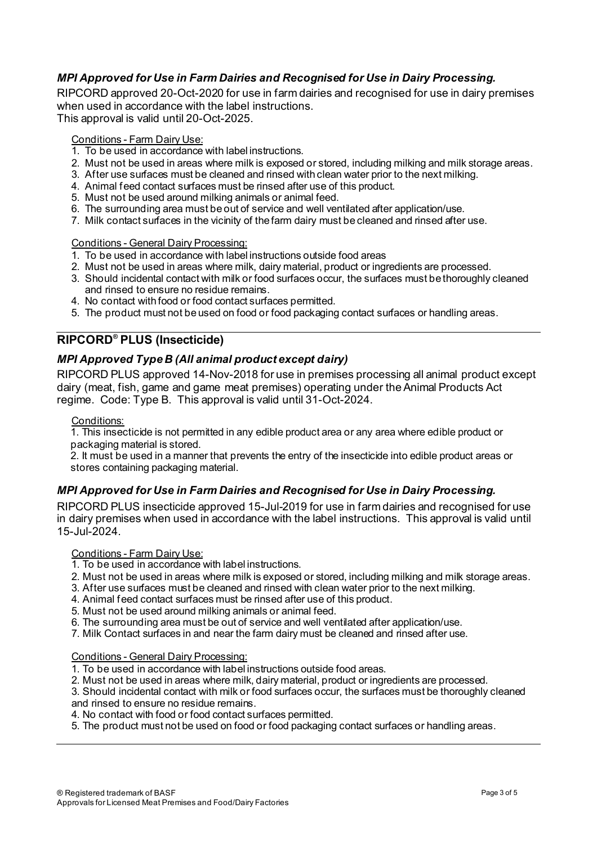## *MPI Approved for Use in Farm Dairies and Recognised for Use in Dairy Processing.*

RIPCORD approved 20-Oct-2020 for use in farm dairies and recognised for use in dairy premises when used in accordance with the label instructions.

This approval is valid until 20-Oct-2025.

### Conditions - Farm Dairy Use:

- 1. To be used in accordance with label instructions.
- 2. Must not be used in areas where milk is exposed or stored, including milking and milk storage areas.
- 3. After use surfaces must be cleaned and rinsed with clean water prior to the next milking.
- 4. Animal feed contact surfaces must be rinsed after use of this product.
- 5. Must not be used around milking animals or animal feed.
- 6. The surrounding area must be out of service and well ventilated after application/use.
- 7. Milk contact surfaces in the vicinity of the farm dairy must be cleaned and rinsed after use.

#### Conditions - General Dairy Processing:

- 1. To be used in accordance with label instructions outside food areas
- 2. Must not be used in areas where milk, dairy material, product or ingredients are processed.
- 3. Should incidental contact with milk or food surfaces occur, the surfaces must be thoroughly cleaned and rinsed to ensure no residue remains.
- 4. No contact with food or food contact surfaces permitted.
- 5. The product must not be used on food or food packaging contact surfaces or handling areas.

# **RIPCORD® PLUS (Insecticide)**

## *MPI Approved Type B (All animal product except dairy)*

RIPCORD PLUS approved 14-Nov-2018 for use in premises processing all animal product except dairy (meat, fish, game and game meat premises) operating under the Animal Products Act regime. Code: Type B. This approval is valid until 31-Oct-2024.

#### Conditions:

1. This insecticide is not permitted in any edible product area or any area where edible product or packaging material is stored.

2. It must be used in a manner that prevents the entry of the insecticide into edible product areas or stores containing packaging material.

## *MPI Approved for Use in Farm Dairies and Recognised for Use in Dairy Processing.*

RIPCORD PLUS insecticide approved 15-Jul-2019 for use in farm dairies and recognised for use in dairy premises when used in accordance with the label instructions. This approval is valid until 15-Jul-2024.

#### Conditions - Farm Dairy Use:

- 1. To be used in accordance with label instructions.
- 2. Must not be used in areas where milk is exposed or stored, including milking and milk storage areas.
- 3. After use surfaces must be cleaned and rinsed with clean water prior to the next milking.
- 4. Animal feed contact surfaces must be rinsed after use of this product.
- 5. Must not be used around milking animals or animal feed.
- 6. The surrounding area must be out of service and well ventilated after application/use.
- 7. Milk Contact surfaces in and near the farm dairy must be cleaned and rinsed after use.

#### Conditions - General Dairy Processing:

- 1. To be used in accordance with label instructions outside food areas.
- 2. Must not be used in areas where milk, dairy material, product or ingredients are processed.
- 3. Should incidental contact with milk or food surfaces occur, the surfaces must be thoroughly cleaned
- and rinsed to ensure no residue remains.
- 4. No contact with food or food contact surfaces permitted.
- 5. The product must not be used on food or food packaging contact surfaces or handling areas.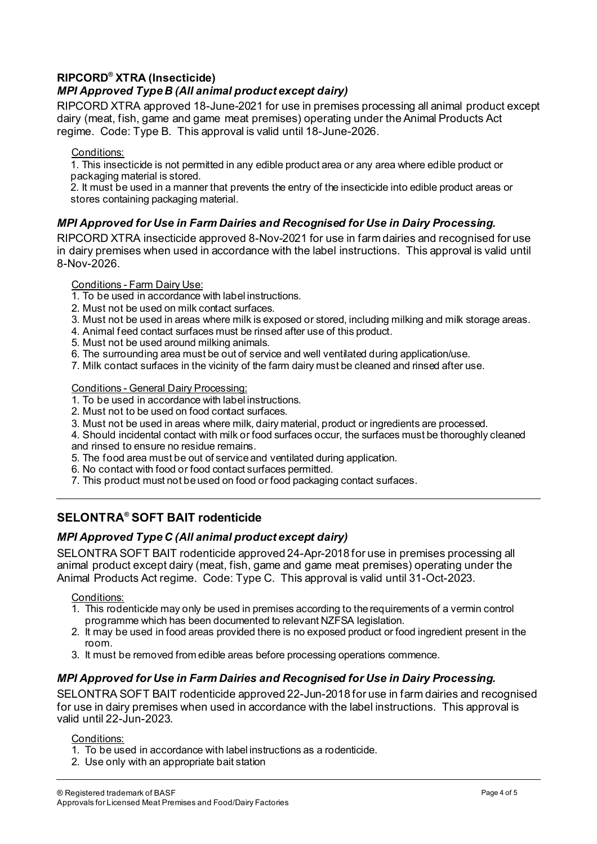# **RIPCORD® XTRA (Insecticide)**

# *MPI Approved Type B (All animal product except dairy)*

RIPCORD XTRA approved 18-June-2021 for use in premises processing all animal product except dairy (meat, fish, game and game meat premises) operating under the Animal Products Act regime. Code: Type B. This approval is valid until 18-June-2026.

### Conditions:

1. This insecticide is not permitted in any edible product area or any area where edible product or packaging material is stored.

2. It must be used in a manner that prevents the entry of the insecticide into edible product areas or stores containing packaging material.

## *MPI Approved for Use in Farm Dairies and Recognised for Use in Dairy Processing.*

RIPCORD XTRA insecticide approved 8-Nov-2021 for use in farm dairies and recognised for use in dairy premises when used in accordance with the label instructions. This approval is valid until 8-Nov-2026.

### Conditions - Farm Dairy Use:

- 1. To be used in accordance with label instructions.
- 2. Must not be used on milk contact surfaces.
- 3. Must not be used in areas where milk is exposed or stored, including milking and milk storage areas.
- 4. Animal feed contact surfaces must be rinsed after use of this product.
- 5. Must not be used around milking animals.
- 6. The surrounding area must be out of service and well ventilated during application/use.
- 7. Milk contact surfaces in the vicinity of the farm dairy must be cleaned and rinsed after use.

### Conditions - General Dairy Processing:

- 1. To be used in accordance with label instructions.
- 2. Must not to be used on food contact surfaces.
- 3. Must not be used in areas where milk, dairy material, product or ingredients are processed.
- 4. Should incidental contact with milk or food surfaces occur, the surfaces must be thoroughly cleaned and rinsed to ensure no residue remains.
- 5. The food area must be out of service and ventilated during application.
- 6. No contact with food or food contact surfaces permitted.
- 7. This product must not be used on food or food packaging contact surfaces.

# **SELONTRA® SOFT BAIT rodenticide**

## *MPI Approved Type C (All animal product except dairy)*

SELONTRA SOFT BAIT rodenticide approved 24-Apr-2018 for use in premises processing all animal product except dairy (meat, fish, game and game meat premises) operating under the Animal Products Act regime. Code: Type C. This approval is valid until 31-Oct-2023.

### Conditions:

- 1. This rodenticide may only be used in premises according to the requirements of a vermin control programme which has been documented to relevant NZFSA legislation.
- 2. It may be used in food areas provided there is no exposed product or food ingredient present in the room.
- 3. It must be removed from edible areas before processing operations commence.

# *MPI Approved for Use in Farm Dairies and Recognised for Use in Dairy Processing.*

SELONTRA SOFT BAIT rodenticide approved 22-Jun-2018 for use in farm dairies and recognised for use in dairy premises when used in accordance with the label instructions. This approval is valid until 22-Jun-2023.

### Conditions:

- 1. To be used in accordance with label instructions as a rodenticide.
- 2. Use only with an appropriate bait station